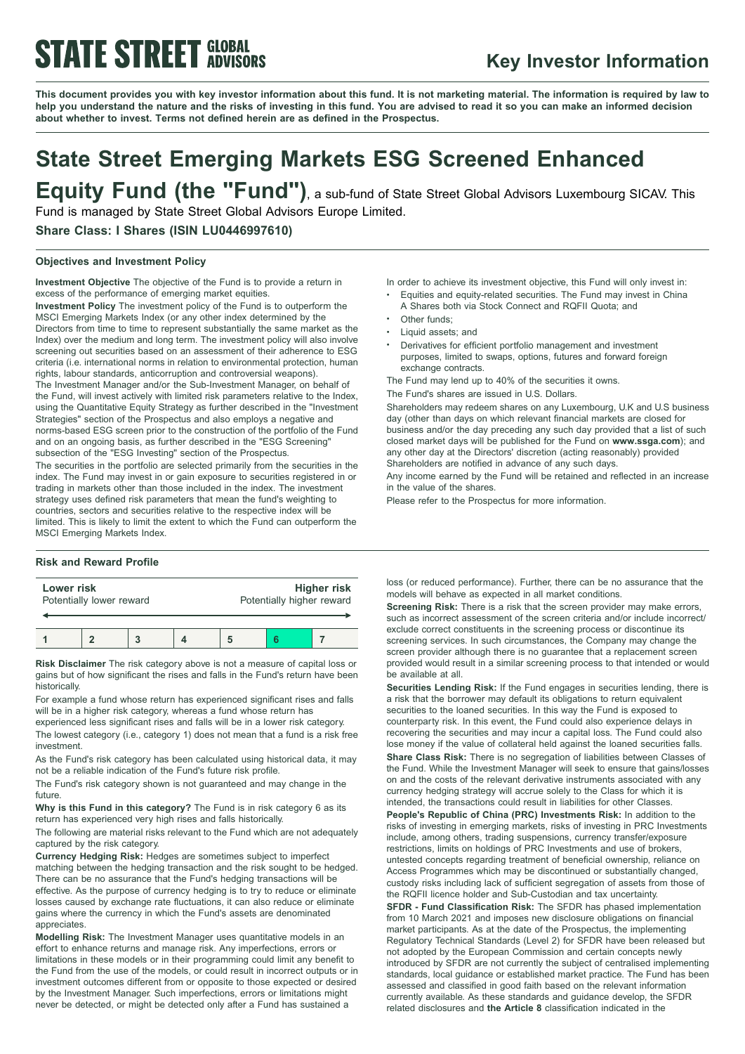# **STATE STREET GLOBAL**

# **Key Investor Information**

This document provides you with key investor information about this fund. It is not marketing material. The information is required by law to help you understand the nature and the risks of investing in this fund. You are advised to read it so you can make an informed decision **about whether to invest. Terms not defined herein are as defined in the Prospectus.**

# **State Street Emerging Markets ESG Screened Enhanced Equity Fund (the "Fund")**, <sup>a</sup> sub-fund of State Street Global Advisors Luxembourg SICAV. This

Fund is managed by State Street Global Advisors Europe Limited.

## **Share Class: I Shares (ISIN LU0446997610)**

## **Objectives and Investment Policy**

**Investment Objective** The objective of the Fund is to provide a return in excess of the performance of emerging market equities.

**Investment Policy** The investment policy of the Fund is to outperform the MSCI Emerging Markets Index (or any other index determined by the Directors from time to time to represent substantially the same market as the Index) over the medium and long term. The investment policy will also involve screening out securities based on an assessment of their adherence to ESG criteria (i.e. international norms in relation to environmental protection, human rights, labour standards, anticorruption and controversial weapons). The Investment Manager and/or the Sub-Investment Manager, on behalf of the Fund, will invest actively with limited risk parameters relative to the Index, using the Quantitative Equity Strategy as further described in the "Investment Strategies" section of the Prospectus and also employs a negative and norms-based ESG screen prior to the construction of the portfolio of the Fund and on an ongoing basis, as further described in the "ESG Screening" subsection of the "ESG Investing" section of the Prospectus.

The securities in the portfolio are selected primarily from the securities in the index. The Fund may invest in or gain exposure to securities registered in or trading in markets other than those included in the index. The investment strategy uses defined risk parameters that mean the fund's weighting to countries, sectors and securities relative to the respective index will be limited. This is likely to limit the extent to which the Fund can outperform the MSCI Emerging Markets Index.

#### **Risk and Reward Profile**

| Lower risk               |  |  |  | Higher risk               |  |  |
|--------------------------|--|--|--|---------------------------|--|--|
| Potentially lower reward |  |  |  | Potentially higher reward |  |  |
|                          |  |  |  |                           |  |  |

**Risk Disclaimer** The risk category above is not a measure of capital loss or gains but of how significant the rises and falls in the Fund's return have been historically.

For example a fund whose return has experienced significant rises and falls will be in a higher risk category, whereas a fund whose return has

experienced less significant rises and falls will be in a lower risk category. The lowest category (i.e., category 1) does not mean that a fund is a risk free investment.

As the Fund's risk category has been calculated using historical data, it may not be a reliable indication of the Fund's future risk profile.

The Fund's risk category shown is not guaranteed and may change in the future.

**Why is this Fund in this category?** The Fund is in risk category 6 as its return has experienced very high rises and falls historically.

The following are material risks relevant to the Fund which are not adequately captured by the risk category.

**Currency Hedging Risk:** Hedges are sometimes subject to imperfect matching between the hedging transaction and the risk sought to be hedged. There can be no assurance that the Fund's hedging transactions will be effective. As the purpose of currency hedging is to try to reduce or eliminate losses caused by exchange rate fluctuations, it can also reduce or eliminate gains where the currency in which the Fund's assets are denominated appreciates.

**Modelling Risk:** The Investment Manager uses quantitative models in an effort to enhance returns and manage risk. Any imperfections, errors or limitations in these models or in their programming could limit any benefit to the Fund from the use of the models, or could result in incorrect outputs or in investment outcomes different from or opposite to those expected or desired by the Investment Manager. Such imperfections, errors or limitations might never be detected, or might be detected only after a Fund has sustained a

In order to achieve its investment objective, this Fund will only invest in:

- <sup>b</sup> Equities and equity-related securities. The Fund may invest in China A Shares both via Stock Connect and RQFII Quota; and
- Other funds;
- Liquid assets; and
- <sup>b</sup> Derivatives for efficient portfolio management and investment purposes, limited to swaps, options, futures and forward foreign exchange contracts.

The Fund may lend up to 40% of the securities it owns.

The Fund's shares are issued in U.S. Dollars.

Shareholders may redeem shares on any Luxembourg, U.K and U.S business day (other than days on which relevant financial markets are closed for business and/or the day preceding any such day provided that a list of such closed market days will be published for the Fund on **www.ssga.com**); and any other day at the Directors' discretion (acting reasonably) provided Shareholders are notified in advance of any such days.

Any income earned by the Fund will be retained and reflected in an increase in the value of the shares.

Please refer to the Prospectus for more information.

loss (or reduced performance). Further, there can be no assurance that the models will behave as expected in all market conditions.

**Screening Risk:** There is a risk that the screen provider may make errors, such as incorrect assessment of the screen criteria and/or include incorrect/ exclude correct constituents in the screening process or discontinue its screening services. In such circumstances, the Company may change the screen provider although there is no guarantee that a replacement screen provided would result in a similar screening process to that intended or would be available at all.

**Securities Lending Risk:** If the Fund engages in securities lending, there is a risk that the borrower may default its obligations to return equivalent securities to the loaned securities. In this way the Fund is exposed to counterparty risk. In this event, the Fund could also experience delays in recovering the securities and may incur a capital loss. The Fund could also lose money if the value of collateral held against the loaned securities falls.

**Share Class Risk:** There is no segregation of liabilities between Classes of the Fund. While the Investment Manager will seek to ensure that gains/losses on and the costs of the relevant derivative instruments associated with any currency hedging strategy will accrue solely to the Class for which it is intended, the transactions could result in liabilities for other Classes.

**People's Republic of China (PRC) Investments Risk:** In addition to the risks of investing in emerging markets, risks of investing in PRC Investments include, among others, trading suspensions, currency transfer/exposure restrictions, limits on holdings of PRC Investments and use of brokers, untested concepts regarding treatment of beneficial ownership, reliance on Access Programmes which may be discontinued or substantially changed, custody risks including lack of sufficient segregation of assets from those of the RQFII licence holder and Sub-Custodian and tax uncertainty.

**SFDR - Fund Classification Risk:** The SFDR has phased implementation from 10 March 2021 and imposes new disclosure obligations on financial market participants. As at the date of the Prospectus, the implementing Regulatory Technical Standards (Level 2) for SFDR have been released but not adopted by the European Commission and certain concepts newly introduced by SFDR are not currently the subject of centralised implementing standards, local guidance or established market practice. The Fund has been assessed and classified in good faith based on the relevant information currently available. As these standards and guidance develop, the SFDR related disclosures and **the Article 8** classification indicated in the